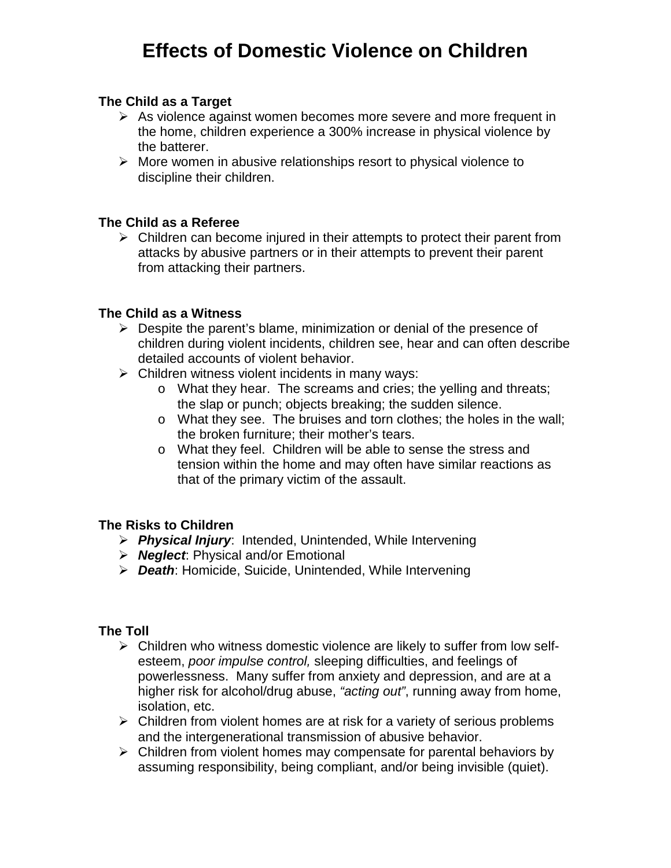# **Effects of Domestic Violence on Children**

## **The Child as a Target**

- $\triangleright$  As violence against women becomes more severe and more frequent in the home, children experience a 300% increase in physical violence by the batterer.
- $\triangleright$  More women in abusive relationships resort to physical violence to discipline their children.

## **The Child as a Referee**

 $\triangleright$  Children can become injured in their attempts to protect their parent from attacks by abusive partners or in their attempts to prevent their parent from attacking their partners.

#### **The Child as a Witness**

- $\triangleright$  Despite the parent's blame, minimization or denial of the presence of children during violent incidents, children see, hear and can often describe detailed accounts of violent behavior.
- $\triangleright$  Children witness violent incidents in many ways:
	- o What they hear. The screams and cries; the yelling and threats; the slap or punch; objects breaking; the sudden silence.
	- o What they see. The bruises and torn clothes; the holes in the wall; the broken furniture; their mother's tears.
	- o What they feel. Children will be able to sense the stress and tension within the home and may often have similar reactions as that of the primary victim of the assault.

## **The Risks to Children**

- *Physical Injury*: Intended, Unintended, While Intervening
- *Neglect*: Physical and/or Emotional
- *Death*: Homicide, Suicide, Unintended, While Intervening

## **The Toll**

- $\triangleright$  Children who witness domestic violence are likely to suffer from low selfesteem, *poor impulse control,* sleeping difficulties, and feelings of powerlessness. Many suffer from anxiety and depression, and are at a higher risk for alcohol/drug abuse, *"acting out"*, running away from home, isolation, etc.
- $\triangleright$  Children from violent homes are at risk for a variety of serious problems and the intergenerational transmission of abusive behavior.
- $\triangleright$  Children from violent homes may compensate for parental behaviors by assuming responsibility, being compliant, and/or being invisible (quiet).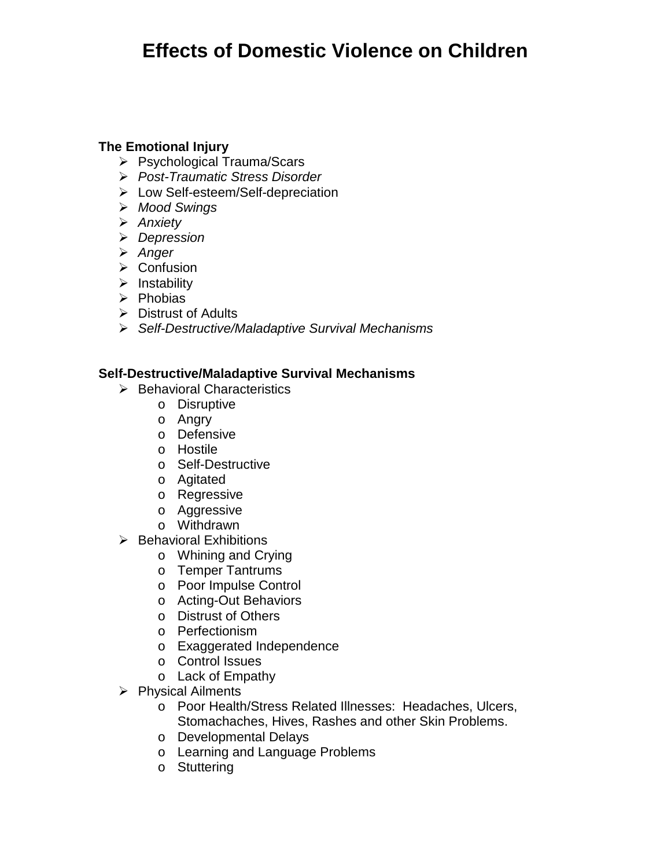# **Effects of Domestic Violence on Children**

# **The Emotional Injury**

- ▶ Psychological Trauma/Scars
- *Post-Traumatic Stress Disorder*
- Low Self-esteem/Self-depreciation
- *Mood Swings*
- *Anxiety*
- *Depression*
- *Anger*
- **≻** Confusion
- $\triangleright$  Instability
- $\triangleright$  Phobias
- $\triangleright$  Distrust of Adults
- *Self-Destructive/Maladaptive Survival Mechanisms*

## **Self-Destructive/Maladaptive Survival Mechanisms**

- $\triangleright$  Behavioral Characteristics
	- o Disruptive
	- o Angry
	- o Defensive
	- o Hostile
	- o Self-Destructive
	- o Agitated
	- o Regressive
	- o Aggressive
	- o Withdrawn
- $\triangleright$  Behavioral Exhibitions
	- o Whining and Crying
	- o Temper Tantrums
	- o Poor Impulse Control
	- o Acting-Out Behaviors
	- o Distrust of Others
	- o Perfectionism
	- o Exaggerated Independence
	- o Control Issues
	- o Lack of Empathy
- $\triangleright$  Physical Ailments
	- o Poor Health/Stress Related Illnesses: Headaches, Ulcers, Stomachaches, Hives, Rashes and other Skin Problems.
	- o Developmental Delays
	- o Learning and Language Problems
	- o Stuttering